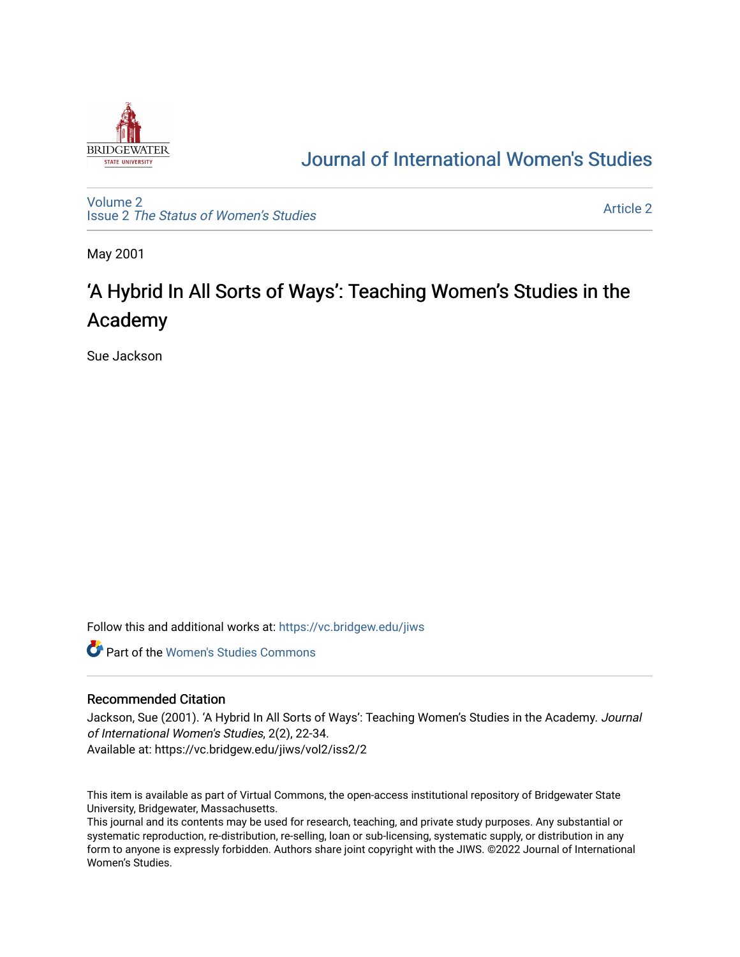

# [Journal of International Women's Studies](https://vc.bridgew.edu/jiws)

[Volume 2](https://vc.bridgew.edu/jiws/vol2) Issue 2 [The Status of Women's Studies](https://vc.bridgew.edu/jiws/vol2/iss2) 

[Article 2](https://vc.bridgew.edu/jiws/vol2/iss2/2) 

May 2001

# 'A Hybrid In All Sorts of Ways': Teaching Women's Studies in the Academy

Sue Jackson

Follow this and additional works at: [https://vc.bridgew.edu/jiws](https://vc.bridgew.edu/jiws?utm_source=vc.bridgew.edu%2Fjiws%2Fvol2%2Fiss2%2F2&utm_medium=PDF&utm_campaign=PDFCoverPages)

**C** Part of the Women's Studies Commons

# Recommended Citation

Jackson, Sue (2001). 'A Hybrid In All Sorts of Ways': Teaching Women's Studies in the Academy. Journal of International Women's Studies, 2(2), 22-34. Available at: https://vc.bridgew.edu/jiws/vol2/iss2/2

This item is available as part of Virtual Commons, the open-access institutional repository of Bridgewater State University, Bridgewater, Massachusetts.

This journal and its contents may be used for research, teaching, and private study purposes. Any substantial or systematic reproduction, re-distribution, re-selling, loan or sub-licensing, systematic supply, or distribution in any form to anyone is expressly forbidden. Authors share joint copyright with the JIWS. ©2022 Journal of International Women's Studies.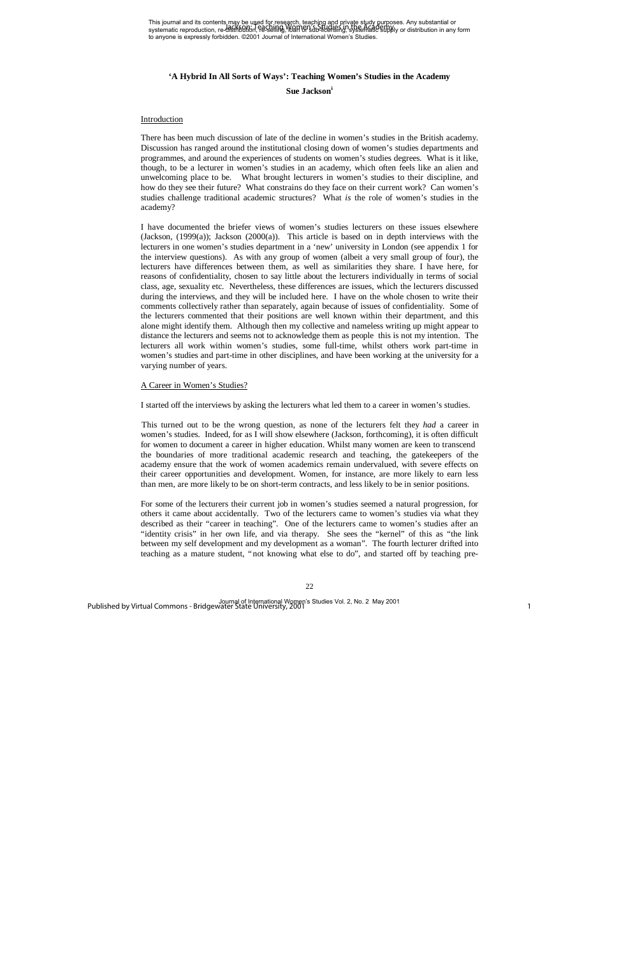# **'A Hybrid In All Sorts of Ways': Teaching Women's Studies in the Academy Sue Jackson<sup>i</sup>**

#### **Introduction**

There has been much discussion of late of the decline in women's studies in the British academy. Discussion has ranged around the institutional closing down of women's studies departments and programmes, and around the experiences of students on women's studies degrees. What is it like, though, to be a lecturer in women's studies in an academy, which often feels like an alien and unwelcoming place to be. What brought lecturers in women's studies to their discipline, and how do they see their future? What constrains do they face on their current work? Can women's studies challenge traditional academic structures? What *is* the role of women's studies in the academy?

I have documented the briefer views of women's studies lecturers on these issues elsewhere (Jackson, (1999(a)); Jackson (2000(a)). This article is based on in depth interviews with the lecturers in one women's studies department in a 'new' university in London (see appendix 1 for the interview questions). As with any group of women (albeit a very small group of four), the lecturers have differences between them, as well as similarities they share. I have here, for reasons of confidentiality, chosen to say little about the lecturers individually in terms of social class, age, sexuality etc. Nevertheless, these differences are issues, which the lecturers discussed during the interviews, and they will be included here. I have on the whole chosen to write their comments collectively rather than separately, again because of issues of confidentiality. Some of the lecturers commented that their positions are well known within their department, and this alone might identify them. Although then my collective and nameless writing up might appear to distance the lecturers and seems not to acknowledge them as people this is not my intention. The lecturers all work within women's studies, some full-time, whilst others work part-time in women's studies and part-time in other disciplines, and have been working at the university for a varying number of years.

#### A Career in Women's Studies?

I started off the interviews by asking the lecturers what led them to a career in women's studies.

This turned out to be the wrong question, as none of the lecturers felt they *had* a career in women's studies. Indeed, for as I will show elsewhere (Jackson, forthcoming), it is often difficult for women to document a career in higher education. Whilst many women are keen to transcend the boundaries of more traditional academic research and teaching, the gatekeepers of the academy ensure that the work of women academics remain undervalued, with severe effects on their career opportunities and development. Women, for instance, are more likely to earn less than men, are more likely to be on short-term contracts, and less likely to be in senior positions.

For some of the lecturers their current job in women's studies seemed a natural progression, for others it came about accidentally. Two of the lecturers came to women's studies via what they described as their "career in teaching". One of the lecturers came to women's studies after an "identity crisis" in her own life, and via therapy. She sees the "kernel" of this as "the link between my self development and my development as a woman". The fourth lecturer drifted into teaching as a mature student, "not knowing what else to do", and started off by teaching pre-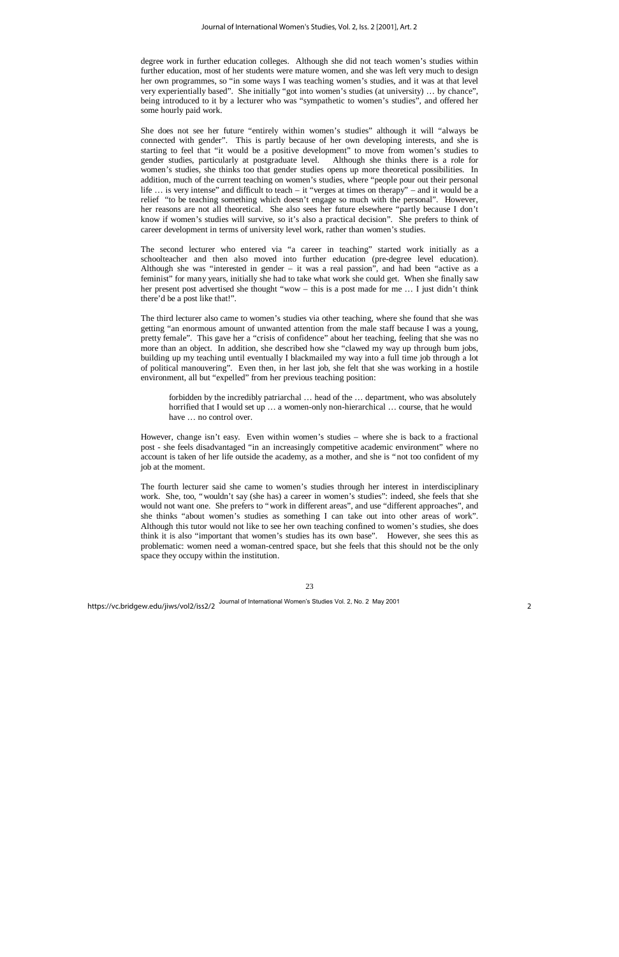degree work in further education colleges. Although she did not teach women's studies within further education, most of her students were mature women, and she was left very much to design her own programmes, so "in some ways I was teaching women's studies, and it was at that level very experientially based". She initially "got into women's studies (at university) … by chance", being introduced to it by a lecturer who was "sympathetic to women's studies", and offered her some hourly paid work.

She does not see her future "entirely within women's studies" although it will "always be connected with gender". This is partly because of her own developing interests, and she is starting to feel that "it would be a positive development" to move from women's studies to gender studies, particularly at postgraduate level. Although she thinks there is a role for women's studies, she thinks too that gender studies opens up more theoretical possibilities. In addition, much of the current teaching on women's studies, where "people pour out their personal life … is very intense" and difficult to teach – it "verges at times on therapy" – and it would be a relief "to be teaching something which doesn't engage so much with the personal". However, her reasons are not all theoretical. She also sees her future elsewhere "partly because I don't know if women's studies will survive, so it's also a practical decision". She prefers to think of career development in terms of university level work, rather than women's studies.

The second lecturer who entered via "a career in teaching" started work initially as a schoolteacher and then also moved into further education (pre-degree level education). Although she was "interested in gender  $-$  it was a real passion", and had been "active as a feminist" for many years, initially she had to take what work she could get. When she finally saw her present post advertised she thought "wow – this is a post made for me ... I just didn't think there'd be a post like that!".

The third lecturer also came to women's studies via other teaching, where she found that she was getting "an enormous amount of unwanted attention from the male staff because I was a young, pretty female". This gave her a "crisis of confidence" about her teaching, feeling that she was no more than an object. In addition, she described how she "clawed my way up through bum jobs, building up my teaching until eventually I blackmailed my way into a full time job through a lot of political manouvering". Even then, in her last job, she felt that she was working in a hostile environment, all but "expelled" from her previous teaching position:

forbidden by the incredibly patriarchal … head of the … department, who was absolutely horrified that I would set up ... a women-only non-hierarchical ... course, that he would have  $\ldots$  no control over.

However, change isn't easy. Even within women's studies – where she is back to a fractional post - she feels disadvantaged "in an increasingly competitive academic environment" where no account is taken of her life outside the academy, as a mother, and she is "not too confident of my job at the moment.

The fourth lecturer said she came to women's studies through her interest in interdisciplinary work. She, too, "wouldn't say (she has) a career in women's studies": indeed, she feels that she would not want one. She prefers to "work in different areas", and use "different approaches", and she thinks "about women's studies as something I can take out into other areas of work". Although this tutor would not like to see her own teaching confined to women's studies, she does think it is also "important that women's studies has its own base". However, she sees this as problematic: women need a woman-centred space, but she feels that this should not be the only space they occupy within the institution.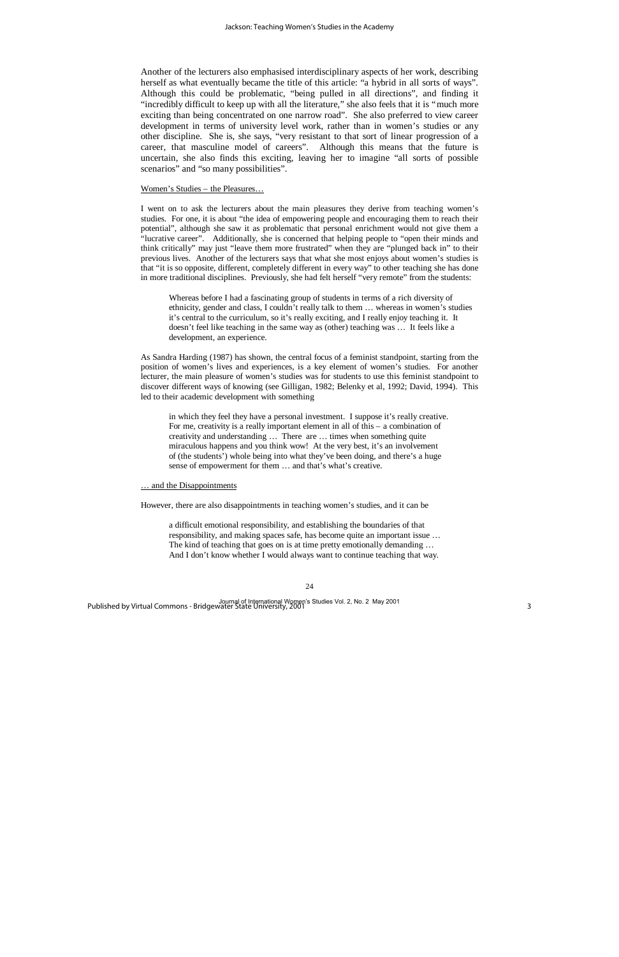Another of the lecturers also emphasised interdisciplinary aspects of her work, describing herself as what eventually became the title of this article: "a hybrid in all sorts of ways". Although this could be problematic, "being pulled in all directions", and finding it "incredibly difficult to keep up with all the literature," she also feels that it is "much more exciting than being concentrated on one narrow road". She also preferred to view career development in terms of university level work, rather than in women's studies or any other discipline. She is, she says, "very resistant to that sort of linear progression of a career, that masculine model of careers". Although this means that the future is uncertain, she also finds this exciting, leaving her to imagine "all sorts of possible scenarios" and "so many possibilities".

#### Women's Studies – the Pleasures…

I went on to ask the lecturers about the main pleasures they derive from teaching women's studies. For one, it is about "the idea of empowering people and encouraging them to reach their potential", although she saw it as problematic that personal enrichment would not give them a "lucrative career". Additionally, she is concerned that helping people to "open their minds and think critically" may just "leave them more frustrated" when they are "plunged back in" to their previous lives. Another of the lecturers says that what she most enjoys about women's studies is that "it is so opposite, different, completely different in every way" to other teaching she has done in more traditional disciplines. Previously, she had felt herself "very remote" from the students:

Whereas before I had a fascinating group of students in terms of a rich diversity of ethnicity, gender and class, I couldn't really talk to them … whereas in women's studies it's central to the curriculum, so it's really exciting, and I really enjoy teaching it. It doesn't feel like teaching in the same way as (other) teaching was … It feels like a development, an experience.

As Sandra Harding (1987) has shown, the central focus of a feminist standpoint, starting from the position of women's lives and experiences, is a key element of women's studies. For another lecturer, the main pleasure of women's studies was for students to use this feminist standpoint to discover different ways of knowing (see Gilligan, 1982; Belenky et al, 1992; David, 1994). This led to their academic development with something

in which they feel they have a personal investment. I suppose it's really creative. For me, creativity is a really important element in all of this – a combination of creativity and understanding … There are … times when something quite miraculous happens and you think wow! At the very best, it's an involvement of (the students') whole being into what they've been doing, and there's a huge sense of empowerment for them … and that's what's creative.

# … and the Disappointments

However, there are also disappointments in teaching women's studies, and it can be

a difficult emotional responsibility, and establishing the boundaries of that responsibility, and making spaces safe, has become quite an important issue … The kind of teaching that goes on is at time pretty emotionally demanding ... And I don't know whether I would always want to continue teaching that way.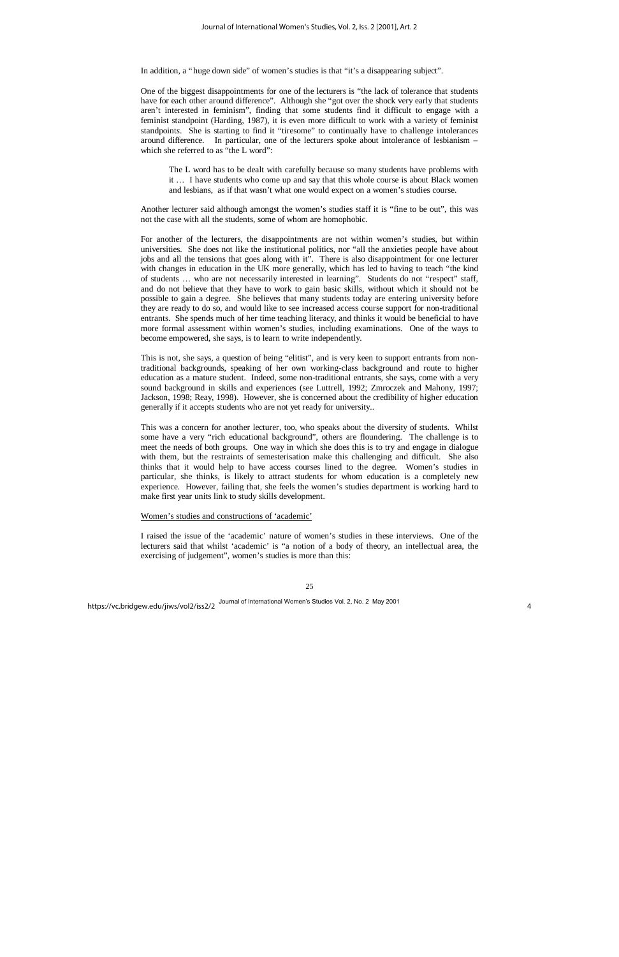In addition, a "huge down side" of women's studies is that "it's a disappearing subject".

One of the biggest disappointments for one of the lecturers is "the lack of tolerance that students have for each other around difference". Although she "got over the shock very early that students aren't interested in feminism", finding that some students find it difficult to engage with a feminist standpoint (Harding, 1987), it is even more difficult to work with a variety of feminist standpoint*s*. She is starting to find it "tiresome" to continually have to challenge intolerances around difference. In particular, one of the lecturers spoke about intolerance of lesbianism – which she referred to as "the L word":

The L word has to be dealt with carefully because so many students have problems with it … I have students who come up and say that this whole course is about Black women and lesbians, as if that wasn't what one would expect on a women's studies course.

Another lecturer said although amongst the women's studies staff it is "fine to be out", this was not the case with all the students, some of whom are homophobic.

For another of the lecturers, the disappointments are not within women's studies, but within universities. She does not like the institutional politics, nor "all the anxieties people have about jobs and all the tensions that goes along with it". There is also disappointment for one lecturer with changes in education in the UK more generally, which has led to having to teach "the kind of students … who are not necessarily interested in learning". Students do not "respect" staff, and do not believe that they have to work to gain basic skills, without which it should not be possible to gain a degree. She believes that many students today are entering university before they are ready to do so, and would like to see increased access course support for non-traditional entrants. She spends much of her time teaching literacy, and thinks it would be beneficial to have more formal assessment within women's studies, including examinations. One of the ways to become empowered, she says, is to learn to write independently.

This is not, she says, a question of being "elitist", and is very keen to support entrants from nontraditional backgrounds, speaking of her own working-class background and route to higher education as a mature student. Indeed, some non-traditional entrants, she says, come with a very sound background in skills and experiences (see Luttrell, 1992; Zmroczek and Mahony, 1997; Jackson, 1998; Reay, 1998). However, she is concerned about the credibility of higher education generally if it accepts students who are not yet ready for university..

This was a concern for another lecturer, too, who speaks about the diversity of students. Whilst some have a very "rich educational background", others are floundering. The challenge is to meet the needs of both groups. One way in which she does this is to try and engage in dialogue with them, but the restraints of semesterisation make this challenging and difficult. She also thinks that it would help to have access courses lined to the degree. Women's studies in particular, she thinks, is likely to attract students for whom education is a completely new experience. However, failing that, she feels the women's studies department is working hard to make first year units link to study skills development.

#### Women's studies and constructions of 'academic'

I raised the issue of the 'academic' nature of women's studies in these interviews. One of the lecturers said that whilst 'academic' is "a notion of a body of theory, an intellectual area, the exercising of judgement", women's studies is more than this: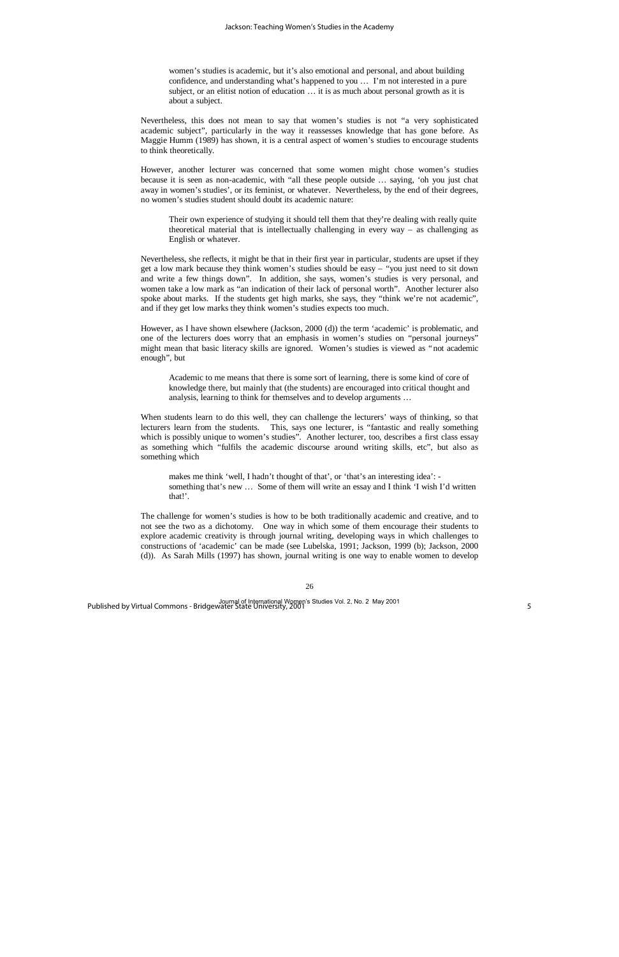women's studies is academic, but it's also emotional and personal, and about building confidence, and understanding what's happened to you … I'm not interested in a pure subject, or an elitist notion of education … it is as much about personal growth as it is about a subject.

Nevertheless, this does not mean to say that women's studies is not "a very sophisticated academic subject", particularly in the way it reassesses knowledge that has gone before. As Maggie Humm (1989) has shown, it is a central aspect of women's studies to encourage students to think theoretically.

However, another lecturer was concerned that some women might chose women's studies because it is seen as non-academic, with "all these people outside … saying, 'oh you just chat away in women's studies', or its feminist, or whatever. Nevertheless, by the end of their degrees, no women's studies student should doubt its academic nature:

Their own experience of studying it should tell them that they're dealing with really quite theoretical material that is intellectually challenging in every way – as challenging as English or whatever.

Nevertheless, she reflects, it might be that in their first year in particular, students are upset if they get a low mark because they think women's studies should be easy – "you just need to sit down and write a few things down". In addition, she says, women's studies is very personal, and women take a low mark as "an indication of their lack of personal worth". Another lecturer also spoke about marks. If the students get high marks, she says, they "think we're not academic", and if they get low marks they think women's studies expects too much.

However, as I have shown elsewhere (Jackson, 2000 (d)) the term 'academic' is problematic, and one of the lecturers does worry that an emphasis in women's studies on "personal journeys" might mean that basic literacy skills are ignored. Women's studies is viewed as "not academic enough", but

Academic to me means that there is some sort of learning, there is some kind of core of knowledge there, but mainly that (the students) are encouraged into critical thought and analysis, learning to think for themselves and to develop arguments …

When students learn to do this well, they can challenge the lecturers' ways of thinking, so that lecturers learn from the students. This, says one lecturer, is "fantastic and really something which is possibly unique to women's studies". Another lecturer, too, describes a first class essay as something which "fulfils the academic discourse around writing skills, etc", but also as something which

makes me think 'well, I hadn't thought of that', or 'that's an interesting idea': something that's new … Some of them will write an essay and I think 'I wish I'd written that!'.

The challenge for women's studies is how to be both traditionally academic and creative, and to not see the two as a dichotomy. One way in which some of them encourage their students to explore academic creativity is through journal writing, developing ways in which challenges to constructions of 'academic' can be made (see Lubelska, 1991; Jackson, 1999 (b); Jackson, 2000 (d)). As Sarah Mills (1997) has shown, journal writing is one way to enable women to develop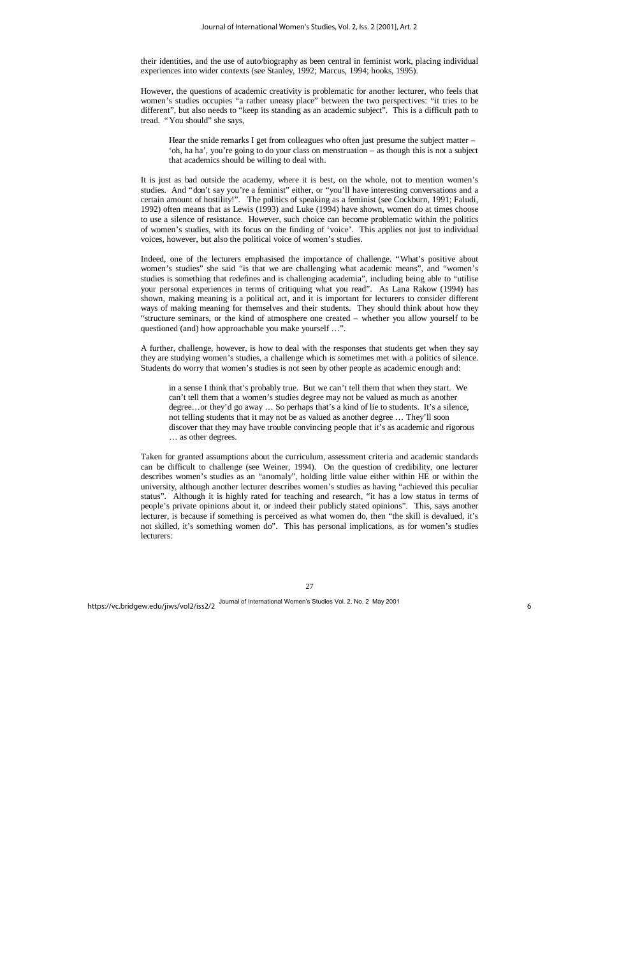their identities, and the use of auto/biography as been central in feminist work, placing individual experiences into wider contexts (see Stanley, 1992; Marcus, 1994; hooks, 1995).

However, the questions of academic creativity is problematic for another lecturer, who feels that women's studies occupies "a rather uneasy place" between the two perspectives: "it tries to be different", but also needs to "keep its standing as an academic subject". This is a difficult path to tread. "You should" she says,

Hear the snide remarks I get from colleagues who often just presume the subject matter – 'oh, ha ha', you're going to do your class on menstruation – as though this is not a subject that academics should be willing to deal with.

It is just as bad outside the academy, where it is best, on the whole, not to mention women's studies. And "don't say you're a feminist" either, or "you'll have interesting conversations and a certain amount of hostility!". The politics of speaking as a feminist (see Cockburn, 1991; Faludi, 1992) often means that as Lewis (1993) and Luke (1994) have shown, women do at times choose to use a silence of resistance. However, such choice can become problematic within the politics of women's studies, with its focus on the finding of 'voice'. This applies not just to individual voices, however, but also the political voice of women's studies.

Indeed, one of the lecturers emphasised the importance of challenge. "What's positive about women's studies" she said "is that we are challenging what academic means", and "women's studies is something that redefines and is challenging academia", including being able to "utilise your personal experiences in terms of critiquing what you read". As Lana Rakow (1994) has shown, making meaning is a political act, and it is important for lecturers to consider different ways of making meaning for themselves and their students. They should think about how they "structure seminars, or the kind of atmosphere one created – whether you allow yourself to be questioned (and) how approachable you make yourself … ".

A further, challenge, however, is how to deal with the responses that students get when they say they are studying women's studies, a challenge which is sometimes met with a politics of silence. Students do worry that women's studies is not seen by other people as academic enough and:

in a sense I think that's probably true. But we can't tell them that when they start. We can't tell them that a women's studies degree may not be valued as much as another degree… or they'd go away … So perhaps that's a kind of lie to students. It's a silence, not telling students that it may not be as valued as another degree … They'll soon discover that they may have trouble convincing people that it's as academic and rigorous … as other degrees.

Taken for granted assumptions about the curriculum, assessment criteria and academic standards can be difficult to challenge (see Weiner, 1994). On the question of credibility, one lecturer describes women's studies as an "anomaly", holding little value either within HE or within the university, although another lecturer describes women's studies as having "achieved this peculiar status". Although it is highly rated for teaching and research, "it has a low status in terms of people's private opinions about it, or indeed their publicly stated opinions". This, says another lecturer, is because if something is perceived as what women do, then "the skill is devalued, it's not skilled, it's something women do". This has personal implications, as for women's studies lecturers: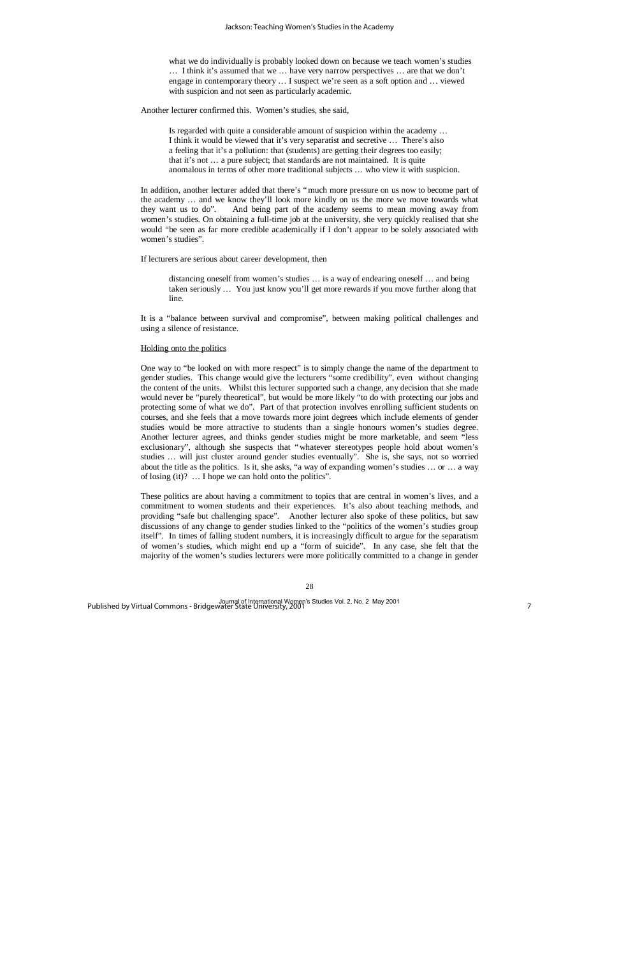what we do individually is probably looked down on because we teach women's studies … I think it's assumed that we … have very narrow perspectives … are that we don't engage in contemporary theory … I suspect we're seen as a soft option and … viewed with suspicion and not seen as particularly academic.

Another lecturer confirmed this. Women's studies, she said,

Is regarded with quite a considerable amount of suspicion within the academy … I think it would be viewed that it's very separatist and secretive … There's also a feeling that it's a pollution: that (students) are getting their degrees too easily; that it's not … a pure subject; that standards are not maintained. It is quite anomalous in terms of other more traditional subjects … who view it with suspicion.

In addition, another lecturer added that there's "much more pressure on us now to become part of the academy … and we know they'll look more kindly on us the more we move towards what they want us to do". And being part of the academy seems to mean moving away from women's studies. On obtaining a full-time job at the university, she very quickly realised that she would "be seen as far more credible academically if I don't appear to be solely associated with women's studies".

If lecturers are serious about career development, then

distancing oneself from women's studies … is a way of endearing oneself … and being taken seriously … You just know you'll get more rewards if you move further along that line.

It is a "balance between survival and compromise", between making political challenges and using a silence of resistance.

#### Holding onto the politics

One way to "be looked on with more respect" is to simply change the name of the department to gender studies. This change would give the lecturers "some credibility", even without changing the content of the units. Whilst this lecturer supported such a change, any decision that she made would never be "purely theoretical", but would be more likely "to do with protecting our jobs and protecting some of what we do". Part of that protection involves enrolling sufficient students on courses, and she feels that a move towards more joint degrees which include elements of gender studies would be more attractive to students than a single honours women's studies degree. Another lecturer agrees, and thinks gender studies might be more marketable, and seem "less exclusionary", although she suspects that "whatever stereotypes people hold about women's studies … will just cluster around gender studies eventually". She is, she says, not so worried about the title as the politics. Is it, she asks, "a way of expanding women's studies … or … a way of losing (it)? … I hope we can hold onto the politics".

These politics are about having a commitment to topics that are central in women's lives, and a commitment to women students and their experiences. It's also about teaching methods, and providing "safe but challenging space". Another lecturer also spoke of these politics, but saw discussions of any change to gender studies linked to the "politics of the women's studies group itself". In times of falling student numbers, it is increasingly difficult to argue for the separatism of women's studies, which might end up a "form of suicide". In any case, she felt that the majority of the women's studies lecturers were more politically committed to a change in gender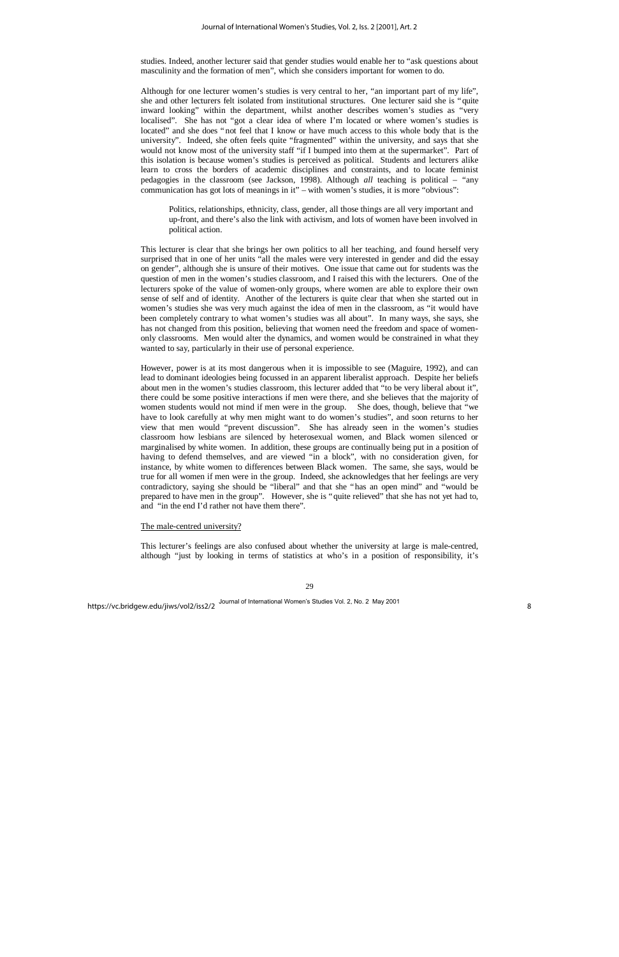studies. Indeed, another lecturer said that gender studies would enable her to "ask questions about masculinity and the formation of men", which she considers important for women to do.

Although for one lecturer women's studies is very central to her, "an important part of my life", she and other lecturers felt isolated from institutional structures. One lecturer said she is "quite inward looking" within the department, whilst another describes women's studies as "very localised". She has not "got a clear idea of where I'm located or where women's studies is located" and she does "not feel that I know or have much access to this whole body that is the university". Indeed, she often feels quite "fragmented" within the university, and says that she would not know most of the university staff "if I bumped into them at the supermarket". Part of this isolation is because women's studies is perceived as political. Students and lecturers alike learn to cross the borders of academic disciplines and constraints, and to locate feminist pedagogies in the classroom (see Jackson, 1998). Although *all* teaching is political – "any communication has got lots of meanings in it" – with women's studies, it is more "obvious":

Politics, relationships, ethnicity, class, gender, all those things are all very important and up-front, and there's also the link with activism, and lots of women have been involved in political action.

This lecturer is clear that she brings her own politics to all her teaching, and found herself very surprised that in one of her units "all the males were very interested in gender and did the essay on gender", although she is unsure of their motives. One issue that came out for students was the question of men in the women's studies classroom, and I raised this with the lecturers. One of the lecturers spoke of the value of women-only groups, where women are able to explore their own sense of self and of identity. Another of the lecturers is quite clear that when she started out in women's studies she was very much against the idea of men in the classroom, as "it would have been completely contrary to what women's studies was all about". In many ways, she says, she has not changed from this position, believing that women need the freedom and space of womenonly classrooms. Men would alter the dynamics, and women would be constrained in what they wanted to say, particularly in their use of personal experience.

However, power is at its most dangerous when it is impossible to see (Maguire, 1992), and can lead to dominant ideologies being focussed in an apparent liberalist approach. Despite her beliefs about men in the women's studies classroom, this lecturer added that "to be very liberal about it", there could be some positive interactions if men were there, and she believes that the majority of women students would not mind if men were in the group. She does, though, believe that "we have to look carefully at why men might want to do women's studies", and soon returns to her view that men would "prevent discussion". She has already seen in the women's studies classroom how lesbians are silenced by heterosexual women, and Black women silenced or marginalised by white women. In addition, these groups are continually being put in a position of having to defend themselves, and are viewed "in a block", with no consideration given, for instance, by white women to differences between Black women. The same, she says, would be true for all women if men were in the group. Indeed, she acknowledges that her feelings are very contradictory, saying she should be "liberal" and that she "has an open mind" and "would be prepared to have men in the group". However, she is "quite relieved" that she has not yet had to, and "in the end I'd rather not have them there".

# The male-centred university?

This lecturer's feelings are also confused about whether the university at large is male-centred, although "just by looking in terms of statistics at who's in a position of responsibility, it's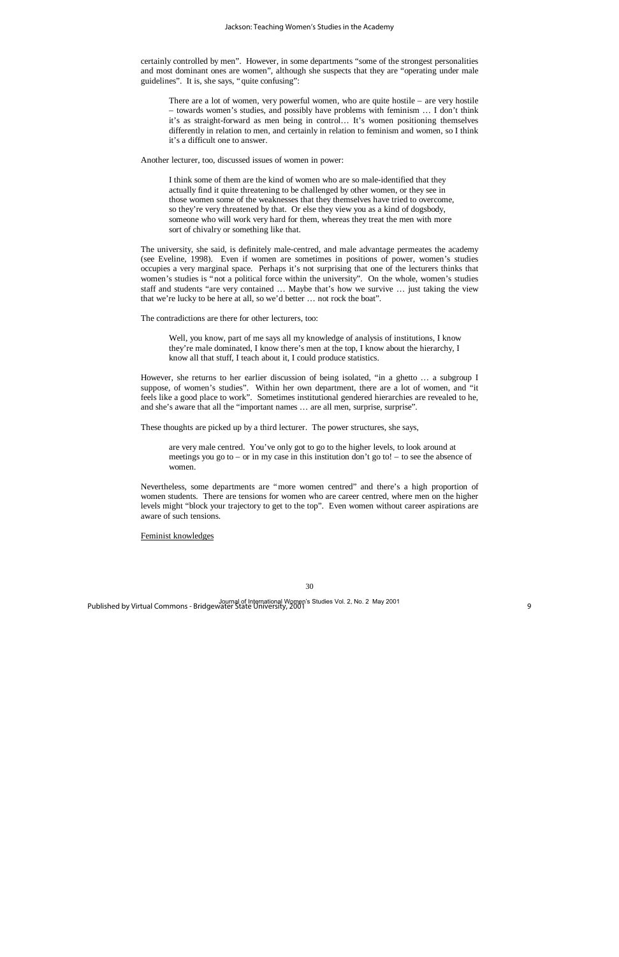certainly controlled by men". However, in some departments "some of the strongest personalities and most dominant ones are women", although she suspects that they are "operating under male guidelines". It is, she says, "quite confusing":

There are a lot of women, very powerful women, who are quite hostile – are very hostile – towards women's studies, and possibly have problems with feminism … I don't think it's as straight-forward as men being in control… It's women positioning themselves differently in relation to men, and certainly in relation to feminism and women, so I think it's a difficult one to answer.

Another lecturer, too, discussed issues of women in power:

I think some of them are the kind of women who are so male-identified that they actually find it quite threatening to be challenged by other women, or they see in those women some of the weaknesses that they themselves have tried to overcome, so they're very threatened by that. Or else they view you as a kind of dogsbody, someone who will work very hard for them, whereas they treat the men with more sort of chivalry or something like that.

The university, she said, is definitely male-centred, and male advantage permeates the academy (see Eveline, 1998). Even if women are sometimes in positions of power, women's studies occupies a very marginal space. Perhaps it's not surprising that one of the lecturers thinks that women's studies is "not a political force within the university". On the whole, women's studies staff and students "are very contained … Maybe that's how we survive … just taking the view that we're lucky to be here at all, so we'd better … not rock the boat".

The contradictions are there for other lecturers, too:

Well, you know, part of me says all my knowledge of analysis of institutions, I know they're male dominated, I know there's men at the top, I know about the hierarchy, I know all that stuff, I teach about it, I could produce statistics.

However, she returns to her earlier discussion of being isolated, "in a ghetto … a subgroup I suppose, of women's studies". Within her own department, there are a lot of women, and "it feels like a good place to work". Sometimes institutional gendered hierarchies are revealed to he, and she's aware that all the "important names … are all men, surprise, surprise".

These thoughts are picked up by a third lecturer. The power structures, she says,

are very male centred. You've only got to go to the higher levels, to look around at meetings you go to – or in my case in this institution don't go to! – to see the absence of women.

Nevertheless, some departments are "more women centred" and there's a high proportion of women students. There are tensions for women who are career centred, where men on the higher levels might "block your trajectory to get to the top". Even women without career aspirations are aware of such tensions.

# Feminist knowledges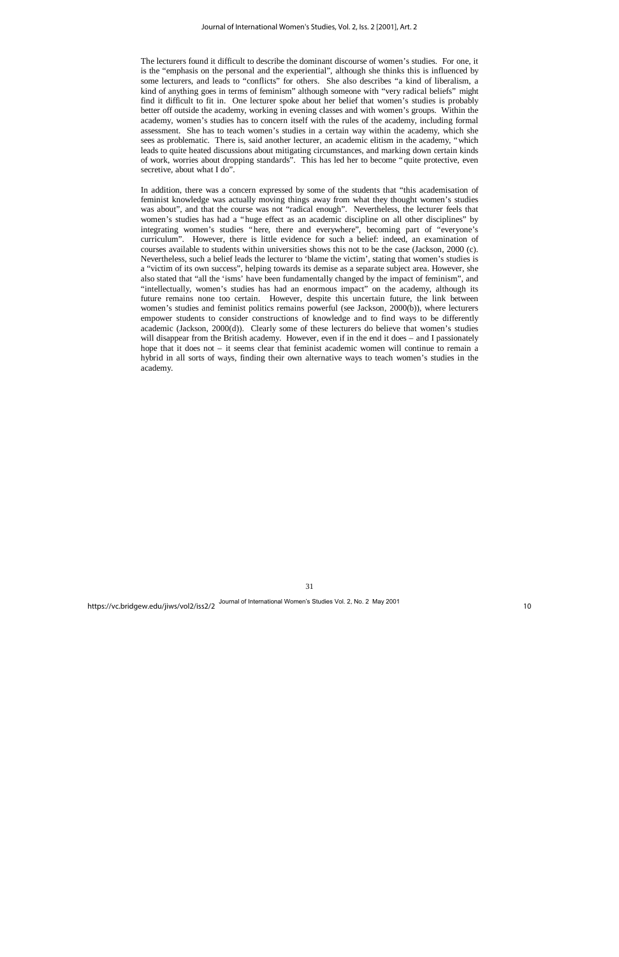The lecturers found it difficult to describe the dominant discourse of women's studies. For one, it is the "emphasis on the personal and the experiential", although she thinks this is influenced by some lecturers, and leads to "conflicts" for others. She also describes "a kind of liberalism, a kind of anything goes in terms of feminism" although someone with "very radical beliefs" might find it difficult to fit in. One lecturer spoke about her belief that women's studies is probably better off outside the academy, working in evening classes and with women's groups. Within the academy, women's studies has to concern itself with the rules of the academy, including formal assessment. She has to teach women's studies in a certain way within the academy, which she sees as problematic. There is, said another lecturer, an academic elitism in the academy, "which leads to quite heated discussions about mitigating circumstances, and marking down certain kinds of work, worries about dropping standards". This has led her to become "quite protective, even secretive, about what I do".

In addition, there was a concern expressed by some of the students that "this academisation of feminist knowledge was actually moving things away from what they thought women's studies was about", and that the course was not "radical enough". Nevertheless, the lecturer feels that women's studies has had a "huge effect as an academic discipline on all other disciplines" by integrating women's studies "here, there and everywhere", becoming part of "everyone's curriculum". However, there is little evidence for such a belief: indeed, an examination of courses available to students within universities shows this not to be the case (Jackson, 2000 (c). Nevertheless, such a belief leads the lecturer to 'blame the victim', stating that women's studies is a "victim of its own success", helping towards its demise as a separate subject area. However, she also stated that "all the 'isms' have been fundamentally changed by the impact of feminism", and "intellectually, women's studies has had an enormous impact" on the academy, although its future remains none too certain. However, despite this uncertain future, the link between women's studies and feminist politics remains powerful (see Jackson, 2000(b)), where lecturers empower students to consider constructions of knowledge and to find ways to be differently academic (Jackson, 2000(d)). Clearly some of these lecturers do believe that women's studies will disappear from the British academy. However, even if in the end it does – and I passionately hope that it does not – it seems clear that feminist academic women will continue to remain a hybrid in all sorts of ways, finding their own alternative ways to teach women's studies in the academy.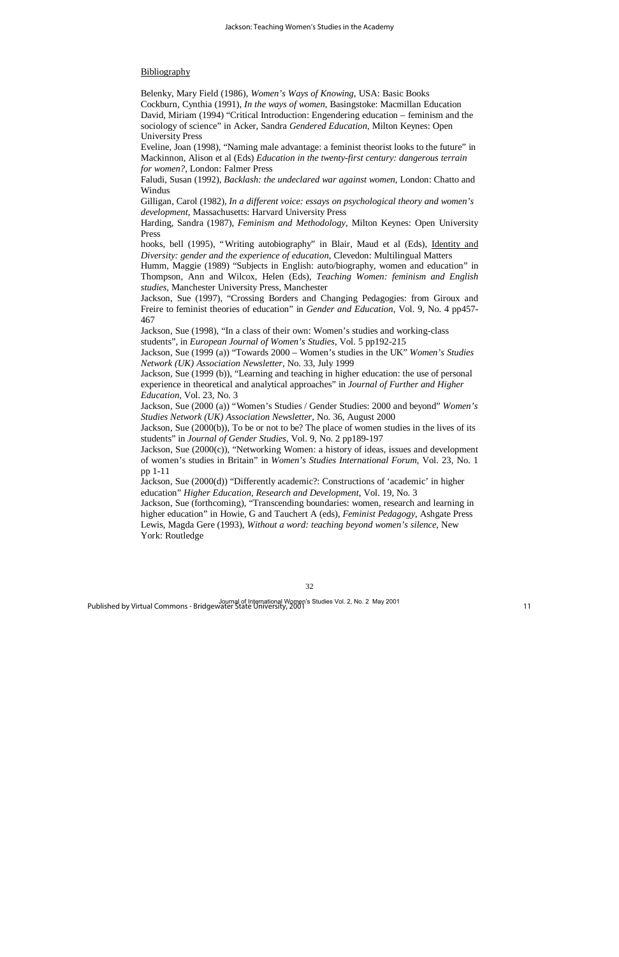# **Bibliography**

Belenky, Mary Field (1986), *Women's Ways of Knowing*, USA: Basic Books Cockburn, Cynthia (1991), *In the ways of women*, Basingstoke: Macmillan Education David, Miriam (1994) "Critical Introduction: Engendering education – feminism and the sociology of science" in Acker, Sandra *Gendered Education*, Milton Keynes: Open University Press

Eveline, Joan (1998), "Naming male advantage: a feminist theorist looks to the future" in Mackinnon, Alison et al (Eds) *Education in the twenty-first century: dangerous terrain for women?*, London: Falmer Press

Faludi, Susan (1992), *Backlash: the undeclared war against women*, London: Chatto and Windus

Gilligan, Carol (1982), *In a different voice: essays on psychological theory and women's development,* Massachusetts: Harvard University Press

Harding, Sandra (1987), *Feminism and Methodology*, Milton Keynes: Open University Press

hooks, bell (1995), "Writing autobiography" in Blair, Maud et al (Eds), Identity and *Diversity: gender and the experience of education*, Clevedon: Multilingual Matters

Humm, Maggie (1989) "Subjects in English: auto/biography, women and education" in Thompson, Ann and Wilcox, Helen (Eds), *Teaching Women: feminism and English studies*, Manchester University Press, Manchester

Jackson, Sue (1997), "Crossing Borders and Changing Pedagogies: from Giroux and Freire to feminist theories of education" in *Gender and Education*, Vol. 9, No. 4 pp457- 467

Jackson, Sue (1998), "In a class of their own: Women's studies and working-class students", in *European Journal of Women's Studies*, Vol. 5 pp192-215

Jackson, Sue (1999 (a)) "Towards 2000 – Women's studies in the UK" *Women's Studies Network (UK) Association Newsletter,* No. 33, July 1999

Jackson, Sue (1999 (b)), "Learning and teaching in higher education: the use of personal experience in theoretical and analytical approaches" in *Journal of Further and Higher Education,* Vol. 23, No. 3

Jackson, Sue (2000 (a)) "Women's Studies / Gender Studies: 2000 and beyond" *Women's Studies Network (UK) Association Newsletter*, No. 36, August 2000

Jackson, Sue (2000(b)), To be or not to be? The place of women studies in the lives of its students" in *Journal of Gender Studies*, Vol. 9, No. 2 pp189-197

Jackson, Sue (2000(c)), "Networking Women: a history of ideas, issues and development of women's studies in Britain" in *Women's Studies International Forum*, Vol. 23, No. 1 pp 1-11

Jackson, Sue (2000(d)) "Differently academic?: Constructions of 'academic' in higher education" *Higher Education, Research and Development*, Vol. 19, No. 3

Jackson, Sue (forthcoming), "Transcending boundaries: women, research and learning in higher education" in Howie, G and Tauchert A (eds), *Feminist Pedagogy*, Ashgate Press Lewis, Magda Gere (1993), *Without a word: teaching beyond women's silence*, New York: Routledge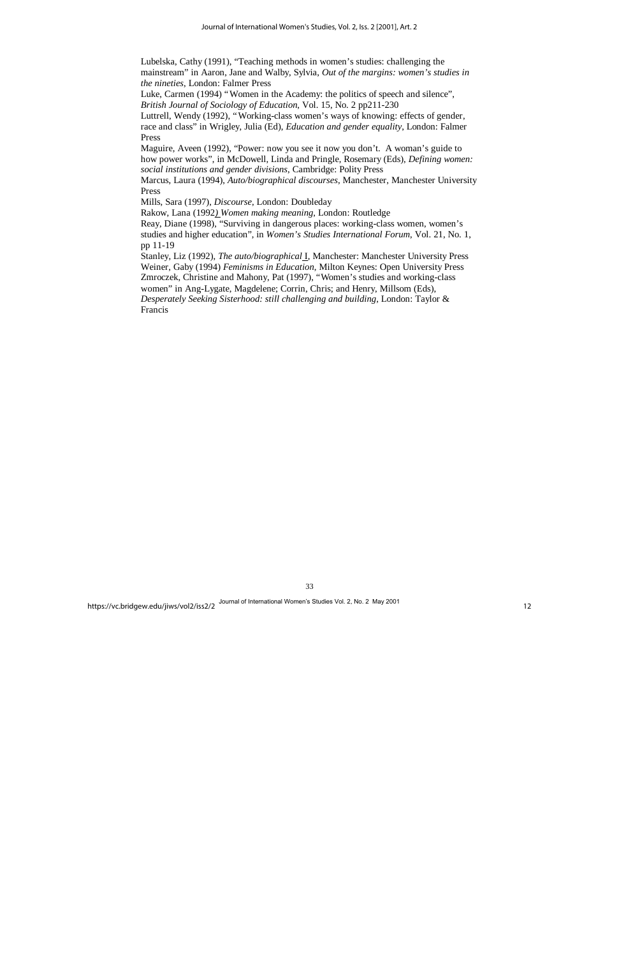Lubelska, Cathy (1991), "Teaching methods in women's studies: challenging the mainstream" in Aaron, Jane and Walby, Sylvia, *Out of the margins: women's studies in the nineties*, London: Falmer Press

Luke, Carmen (1994) "Women in the Academy: the politics of speech and silence", *British Journal of Sociology of Education*, Vol. 15, No. 2 pp211-230

Luttrell, Wendy (1992), "Working-class women's ways of knowing: effects of gender, race and class" in Wrigley, Julia (Ed), *Education and gender equality*, London: Falmer Press

Maguire, Aveen (1992), "Power: now you see it now you don't. A woman's guide to how power works", in McDowell, Linda and Pringle, Rosemary (Eds), *Defining women: social institutions and gender divisions*, Cambridge: Polity Press

Marcus, Laura (1994), *Auto/biographical discourses*, Manchester, Manchester University Press

Mills, Sara (1997), *Discourse*, London: Doubleday

Rakow, Lana (1992*) Women making meaning*, London: Routledge

Reay, Diane (1998), "Surviving in dangerous places: working-class women, women's studies and higher education", in *Women's Studies International Forum*, Vol. 21, No. 1, pp 11-19

Stanley, Liz (1992), *The auto/biographical* I, Manchester: Manchester University Press Weiner, Gaby (1994) *Feminisms in Education*, Milton Keynes: Open University Press Zmroczek, Christine and Mahony, Pat (1997), "Women's studies and working-class women" in Ang-Lygate, Magdelene; Corrin, Chris; and Henry, Millsom (Eds), *Desperately Seeking Sisterhood: still challenging and building*, London: Taylor & Francis